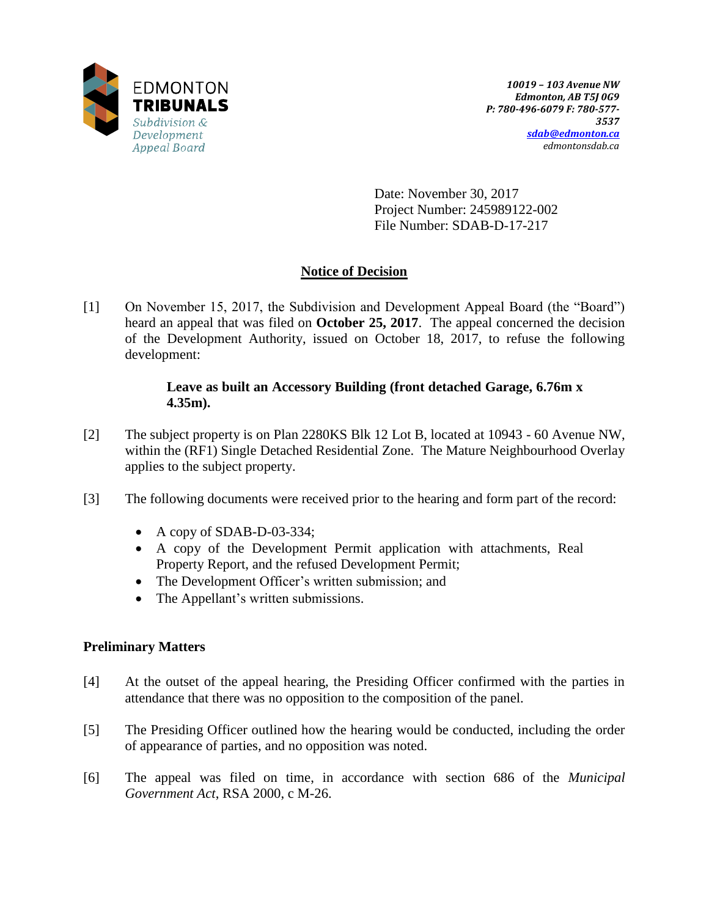

Date: November 30, 2017 Project Number: 245989122-002 File Number: SDAB-D-17-217

# **Notice of Decision**

[1] On November 15, 2017, the Subdivision and Development Appeal Board (the "Board") heard an appeal that was filed on **October 25, 2017**. The appeal concerned the decision of the Development Authority, issued on October 18, 2017, to refuse the following development:

## **Leave as built an Accessory Building (front detached Garage, 6.76m x 4.35m).**

- [2] The subject property is on Plan 2280KS Blk 12 Lot B, located at 10943 60 Avenue NW, within the (RF1) Single Detached Residential Zone. The Mature Neighbourhood Overlay applies to the subject property.
- [3] The following documents were received prior to the hearing and form part of the record:
	- A copy of SDAB-D-03-334;
	- A copy of the Development Permit application with attachments, Real Property Report, and the refused Development Permit;
	- The Development Officer's written submission; and
	- The Appellant's written submissions.

# **Preliminary Matters**

- [4] At the outset of the appeal hearing, the Presiding Officer confirmed with the parties in attendance that there was no opposition to the composition of the panel.
- [5] The Presiding Officer outlined how the hearing would be conducted, including the order of appearance of parties, and no opposition was noted.
- [6] The appeal was filed on time, in accordance with section 686 of the *Municipal Government Act*, RSA 2000, c M-26.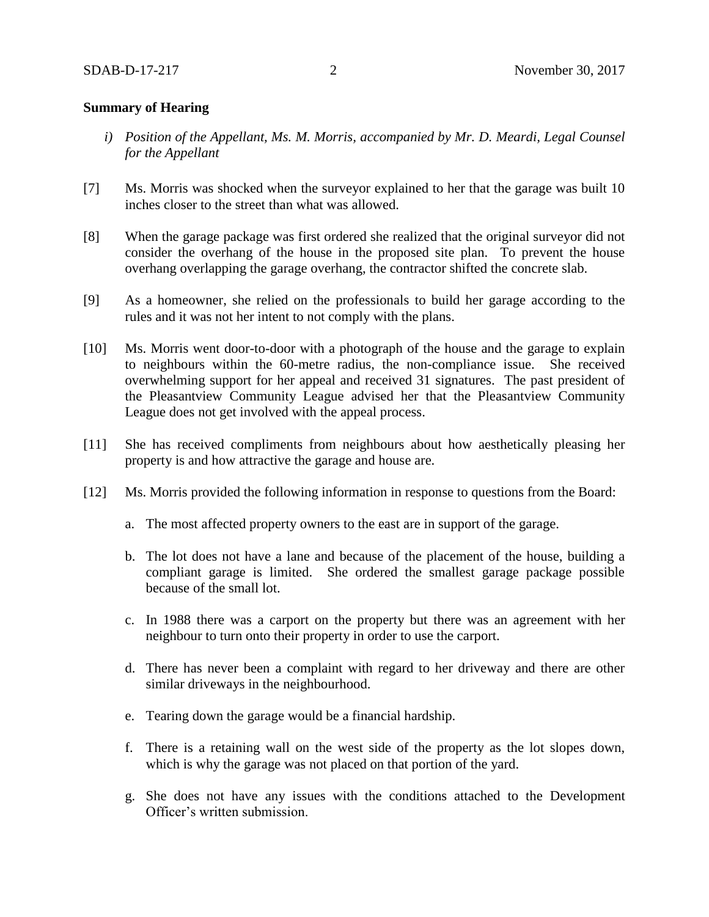#### **Summary of Hearing**

- *i) Position of the Appellant, Ms. M. Morris, accompanied by Mr. D. Meardi, Legal Counsel for the Appellant*
- [7] Ms. Morris was shocked when the surveyor explained to her that the garage was built 10 inches closer to the street than what was allowed.
- [8] When the garage package was first ordered she realized that the original surveyor did not consider the overhang of the house in the proposed site plan. To prevent the house overhang overlapping the garage overhang, the contractor shifted the concrete slab.
- [9] As a homeowner, she relied on the professionals to build her garage according to the rules and it was not her intent to not comply with the plans.
- [10] Ms. Morris went door-to-door with a photograph of the house and the garage to explain to neighbours within the 60-metre radius, the non-compliance issue. She received overwhelming support for her appeal and received 31 signatures. The past president of the Pleasantview Community League advised her that the Pleasantview Community League does not get involved with the appeal process.
- [11] She has received compliments from neighbours about how aesthetically pleasing her property is and how attractive the garage and house are.
- [12] Ms. Morris provided the following information in response to questions from the Board:
	- a. The most affected property owners to the east are in support of the garage.
	- b. The lot does not have a lane and because of the placement of the house, building a compliant garage is limited. She ordered the smallest garage package possible because of the small lot.
	- c. In 1988 there was a carport on the property but there was an agreement with her neighbour to turn onto their property in order to use the carport.
	- d. There has never been a complaint with regard to her driveway and there are other similar driveways in the neighbourhood.
	- e. Tearing down the garage would be a financial hardship.
	- f. There is a retaining wall on the west side of the property as the lot slopes down, which is why the garage was not placed on that portion of the yard.
	- g. She does not have any issues with the conditions attached to the Development Officer's written submission.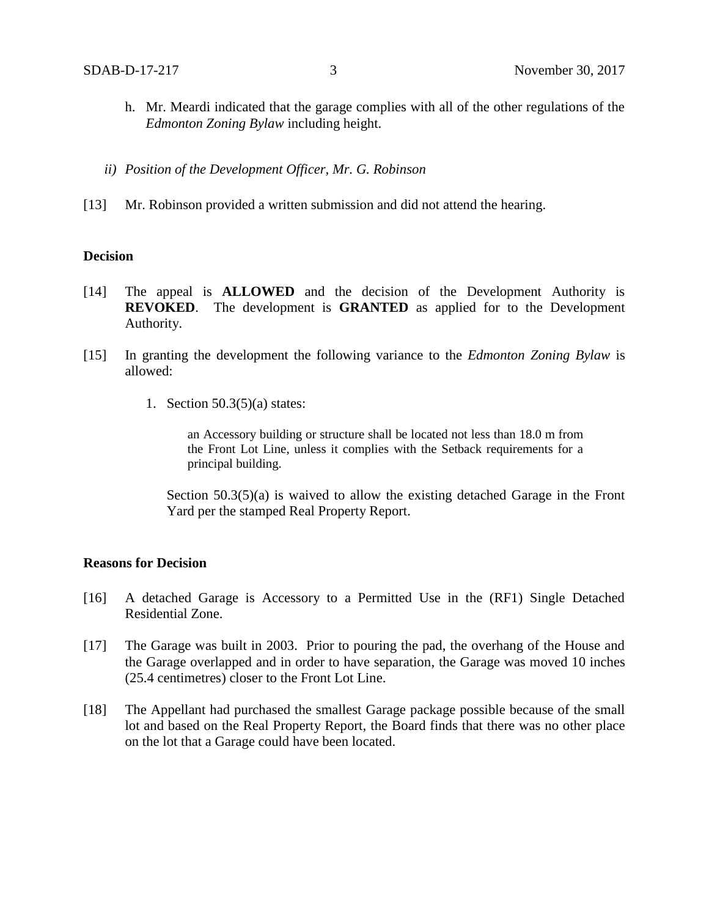- h. Mr. Meardi indicated that the garage complies with all of the other regulations of the *Edmonton Zoning Bylaw* including height.
- *ii) Position of the Development Officer, Mr. G. Robinson*
- [13] Mr. Robinson provided a written submission and did not attend the hearing.

#### **Decision**

- [14] The appeal is **ALLOWED** and the decision of the Development Authority is **REVOKED**. The development is **GRANTED** as applied for to the Development Authority.
- [15] In granting the development the following variance to the *Edmonton Zoning Bylaw* is allowed:
	- 1. Section 50.3(5)(a) states:

an Accessory building or structure shall be located not less than 18.0 m from the Front Lot Line, unless it complies with the Setback requirements for a principal building.

Section 50.3(5)(a) is waived to allow the existing detached Garage in the Front Yard per the stamped Real Property Report.

#### **Reasons for Decision**

- [16] A detached Garage is Accessory to a Permitted Use in the (RF1) Single Detached Residential Zone.
- [17] The Garage was built in 2003. Prior to pouring the pad, the overhang of the House and the Garage overlapped and in order to have separation, the Garage was moved 10 inches (25.4 centimetres) closer to the Front Lot Line.
- [18] The Appellant had purchased the smallest Garage package possible because of the small lot and based on the Real Property Report, the Board finds that there was no other place on the lot that a Garage could have been located.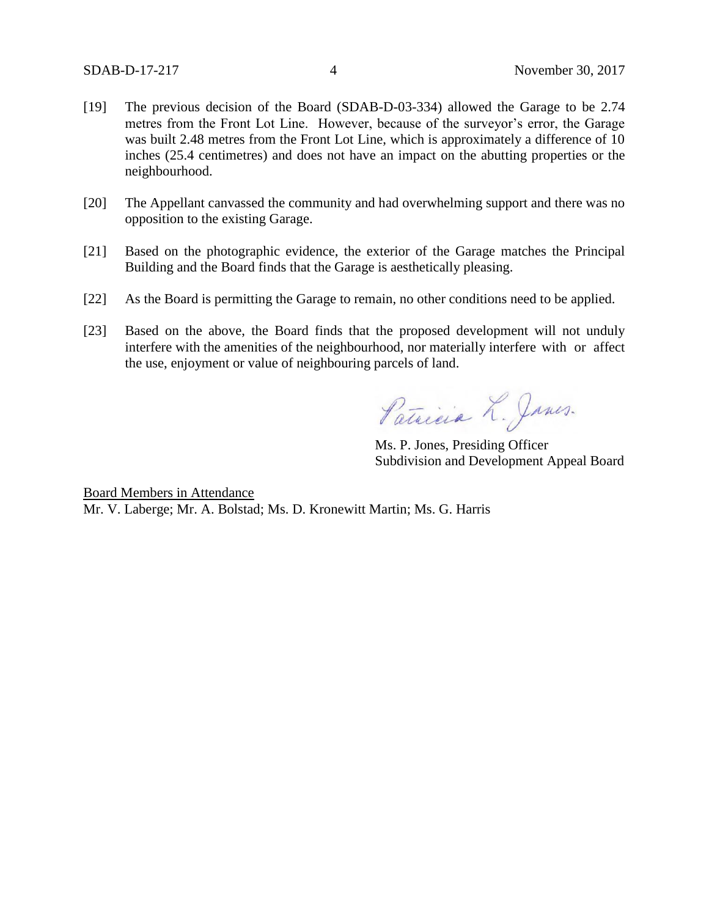- [19] The previous decision of the Board (SDAB-D-03-334) allowed the Garage to be 2.74 metres from the Front Lot Line. However, because of the surveyor's error, the Garage was built 2.48 metres from the Front Lot Line, which is approximately a difference of 10 inches (25.4 centimetres) and does not have an impact on the abutting properties or the neighbourhood.
- [20] The Appellant canvassed the community and had overwhelming support and there was no opposition to the existing Garage.
- [21] Based on the photographic evidence, the exterior of the Garage matches the Principal Building and the Board finds that the Garage is aesthetically pleasing.
- [22] As the Board is permitting the Garage to remain, no other conditions need to be applied.
- [23] Based on the above, the Board finds that the proposed development will not unduly interfere with the amenities of the neighbourhood, nor materially interfere with or affect the use, enjoyment or value of neighbouring parcels of land.

Patricia L. Janes.

Ms. P. Jones, Presiding Officer Subdivision and Development Appeal Board

Board Members in Attendance Mr. V. Laberge; Mr. A. Bolstad; Ms. D. Kronewitt Martin; Ms. G. Harris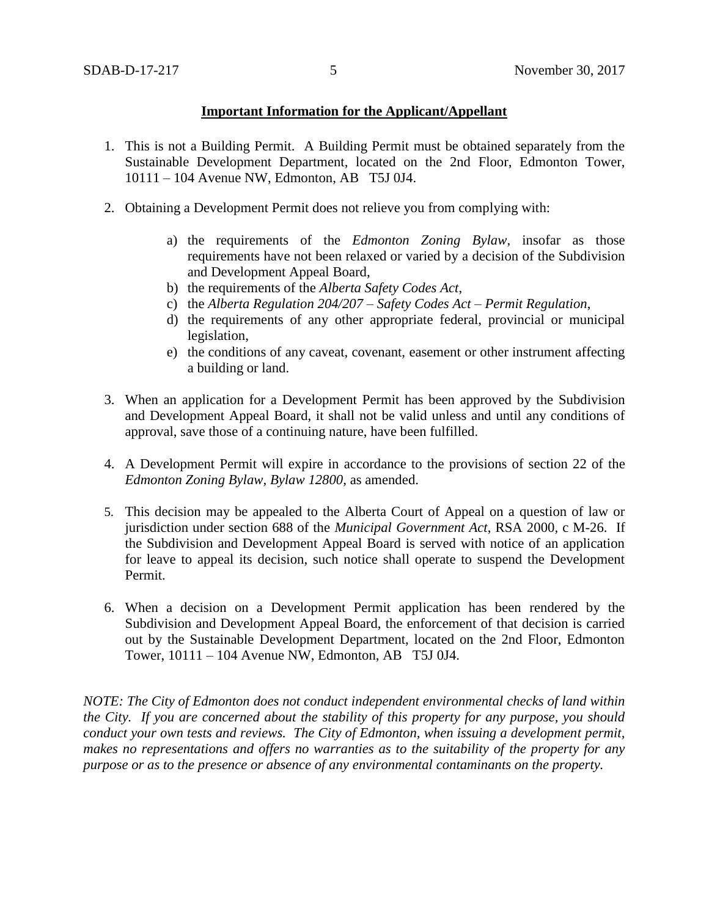## **Important Information for the Applicant/Appellant**

- 1. This is not a Building Permit. A Building Permit must be obtained separately from the Sustainable Development Department, located on the 2nd Floor, Edmonton Tower, 10111 – 104 Avenue NW, Edmonton, AB T5J 0J4.
- 2. Obtaining a Development Permit does not relieve you from complying with:
	- a) the requirements of the *Edmonton Zoning Bylaw*, insofar as those requirements have not been relaxed or varied by a decision of the Subdivision and Development Appeal Board,
	- b) the requirements of the *Alberta Safety Codes Act*,
	- c) the *Alberta Regulation 204/207 – Safety Codes Act – Permit Regulation*,
	- d) the requirements of any other appropriate federal, provincial or municipal legislation,
	- e) the conditions of any caveat, covenant, easement or other instrument affecting a building or land.
- 3. When an application for a Development Permit has been approved by the Subdivision and Development Appeal Board, it shall not be valid unless and until any conditions of approval, save those of a continuing nature, have been fulfilled.
- 4. A Development Permit will expire in accordance to the provisions of section 22 of the *Edmonton Zoning Bylaw, Bylaw 12800*, as amended.
- 5. This decision may be appealed to the Alberta Court of Appeal on a question of law or jurisdiction under section 688 of the *Municipal Government Act*, RSA 2000, c M-26. If the Subdivision and Development Appeal Board is served with notice of an application for leave to appeal its decision, such notice shall operate to suspend the Development Permit.
- 6. When a decision on a Development Permit application has been rendered by the Subdivision and Development Appeal Board, the enforcement of that decision is carried out by the Sustainable Development Department, located on the 2nd Floor, Edmonton Tower, 10111 – 104 Avenue NW, Edmonton, AB T5J 0J4.

*NOTE: The City of Edmonton does not conduct independent environmental checks of land within the City. If you are concerned about the stability of this property for any purpose, you should conduct your own tests and reviews. The City of Edmonton, when issuing a development permit, makes no representations and offers no warranties as to the suitability of the property for any purpose or as to the presence or absence of any environmental contaminants on the property.*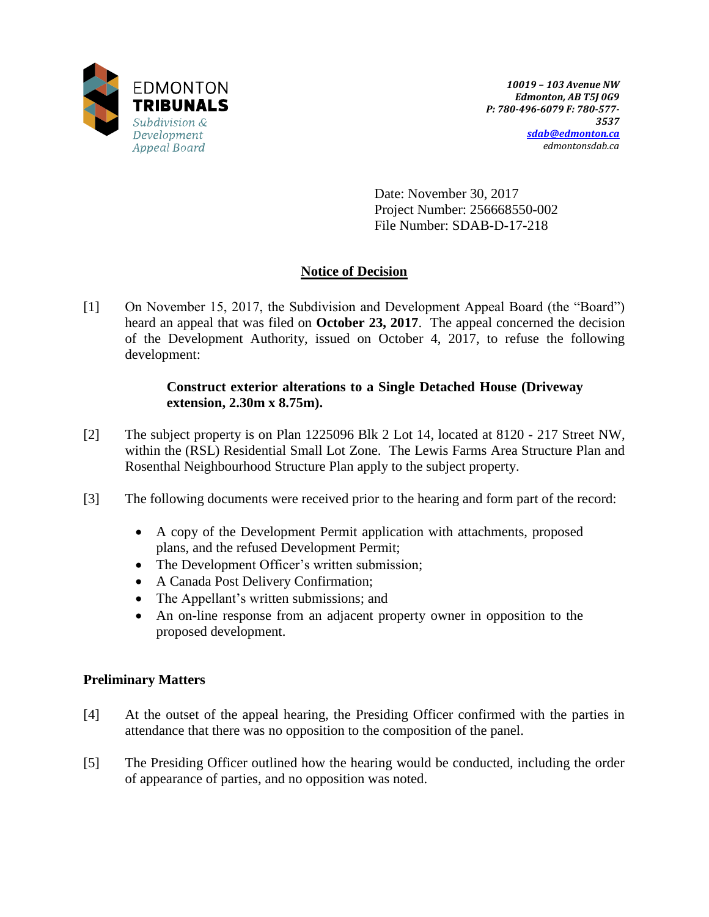

Date: November 30, 2017 Project Number: 256668550-002 File Number: SDAB-D-17-218

# **Notice of Decision**

[1] On November 15, 2017, the Subdivision and Development Appeal Board (the "Board") heard an appeal that was filed on **October 23, 2017**. The appeal concerned the decision of the Development Authority, issued on October 4, 2017, to refuse the following development:

## **Construct exterior alterations to a Single Detached House (Driveway extension, 2.30m x 8.75m).**

- [2] The subject property is on Plan 1225096 Blk 2 Lot 14, located at 8120 217 Street NW, within the (RSL) Residential Small Lot Zone. The Lewis Farms Area Structure Plan and Rosenthal Neighbourhood Structure Plan apply to the subject property.
- [3] The following documents were received prior to the hearing and form part of the record:
	- A copy of the Development Permit application with attachments, proposed plans, and the refused Development Permit;
	- The Development Officer's written submission;
	- A Canada Post Delivery Confirmation;
	- The Appellant's written submissions; and
	- An on-line response from an adjacent property owner in opposition to the proposed development.

# **Preliminary Matters**

- [4] At the outset of the appeal hearing, the Presiding Officer confirmed with the parties in attendance that there was no opposition to the composition of the panel.
- [5] The Presiding Officer outlined how the hearing would be conducted, including the order of appearance of parties, and no opposition was noted.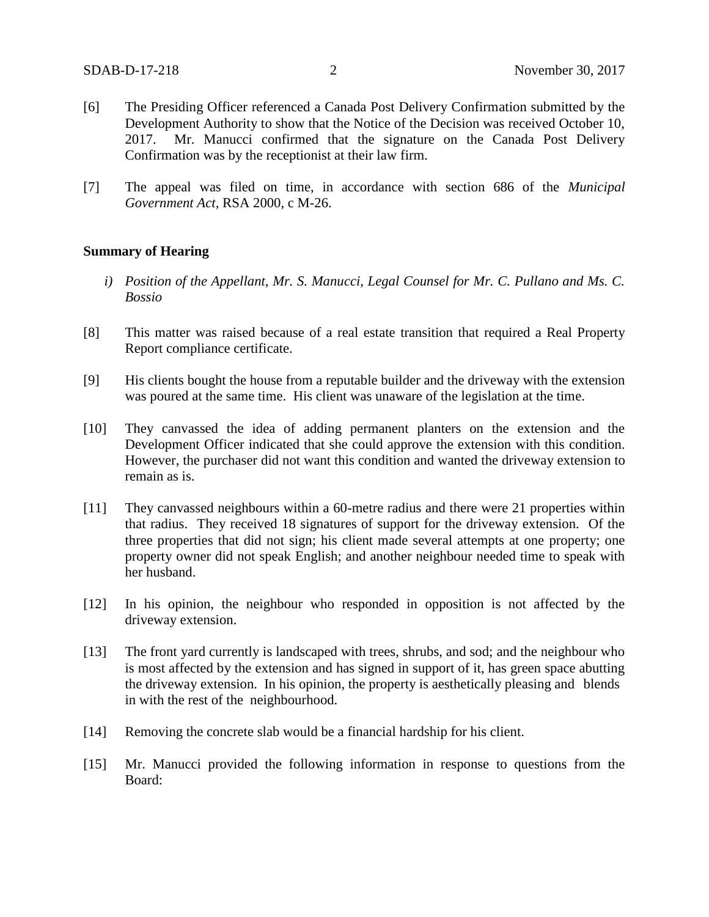- [6] The Presiding Officer referenced a Canada Post Delivery Confirmation submitted by the Development Authority to show that the Notice of the Decision was received October 10, 2017. Mr. Manucci confirmed that the signature on the Canada Post Delivery Confirmation was by the receptionist at their law firm.
- [7] The appeal was filed on time, in accordance with section 686 of the *Municipal Government Act*, RSA 2000, c M-26.

#### **Summary of Hearing**

- *i) Position of the Appellant, Mr. S. Manucci, Legal Counsel for Mr. C. Pullano and Ms. C. Bossio*
- [8] This matter was raised because of a real estate transition that required a Real Property Report compliance certificate.
- [9] His clients bought the house from a reputable builder and the driveway with the extension was poured at the same time. His client was unaware of the legislation at the time.
- [10] They canvassed the idea of adding permanent planters on the extension and the Development Officer indicated that she could approve the extension with this condition. However, the purchaser did not want this condition and wanted the driveway extension to remain as is.
- [11] They canvassed neighbours within a 60-metre radius and there were 21 properties within that radius. They received 18 signatures of support for the driveway extension. Of the three properties that did not sign; his client made several attempts at one property; one property owner did not speak English; and another neighbour needed time to speak with her husband.
- [12] In his opinion, the neighbour who responded in opposition is not affected by the driveway extension.
- [13] The front yard currently is landscaped with trees, shrubs, and sod; and the neighbour who is most affected by the extension and has signed in support of it, has green space abutting the driveway extension. In his opinion, the property is aesthetically pleasing and blends in with the rest of the neighbourhood.
- [14] Removing the concrete slab would be a financial hardship for his client.
- [15] Mr. Manucci provided the following information in response to questions from the Board: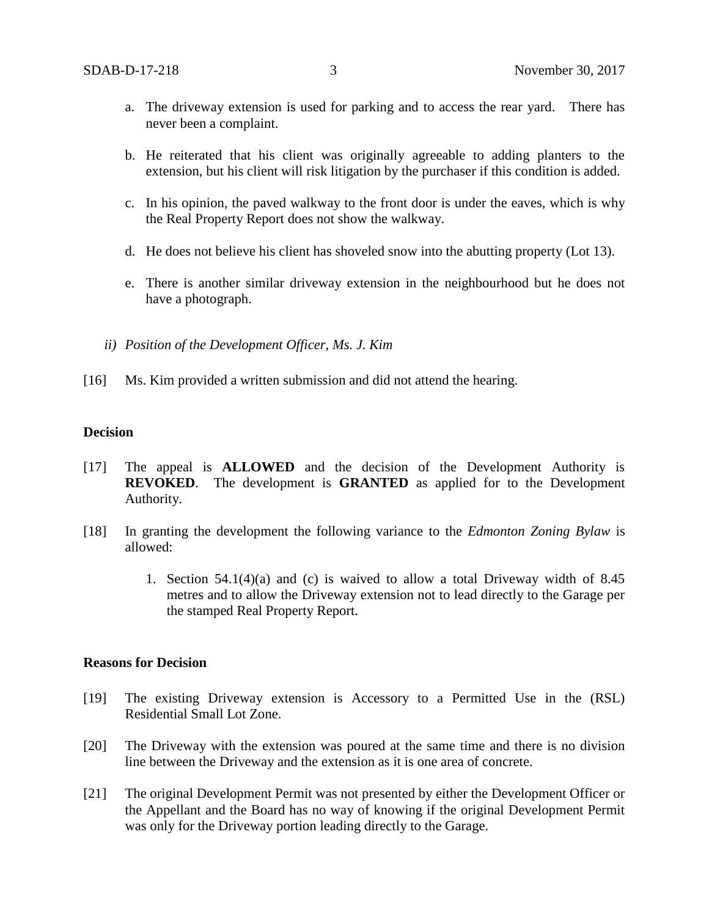- a. The driveway extension is used for parking and to access the rear yard. There has never been a complaint.
- b. He reiterated that his client was originally agreeable to adding planters to the extension, but his client will risk litigation by the purchaser if this condition is added.
- c. In his opinion, the paved walkway to the front door is under the eaves, which is why the Real Property Report does not show the walkway.
- d. He does not believe his client has shoveled snow into the abutting property (Lot 13).
- e. There is another similar driveway extension in the neighbourhood but he does not have a photograph.
- *ii) Position of the Development Officer, Ms. J. Kim*
- [16] Ms. Kim provided a written submission and did not attend the hearing.

#### **Decision**

- [17] The appeal is **ALLOWED** and the decision of the Development Authority is **REVOKED**. The development is **GRANTED** as applied for to the Development Authority.
- [18] In granting the development the following variance to the *Edmonton Zoning Bylaw* is allowed:
	- 1. Section 54.1(4)(a) and (c) is waived to allow a total Driveway width of 8.45 metres and to allow the Driveway extension not to lead directly to the Garage per the stamped Real Property Report.

#### **Reasons for Decision**

- [19] The existing Driveway extension is Accessory to a Permitted Use in the (RSL) Residential Small Lot Zone.
- [20] The Driveway with the extension was poured at the same time and there is no division line between the Driveway and the extension as it is one area of concrete.
- [21] The original Development Permit was not presented by either the Development Officer or the Appellant and the Board has no way of knowing if the original Development Permit was only for the Driveway portion leading directly to the Garage.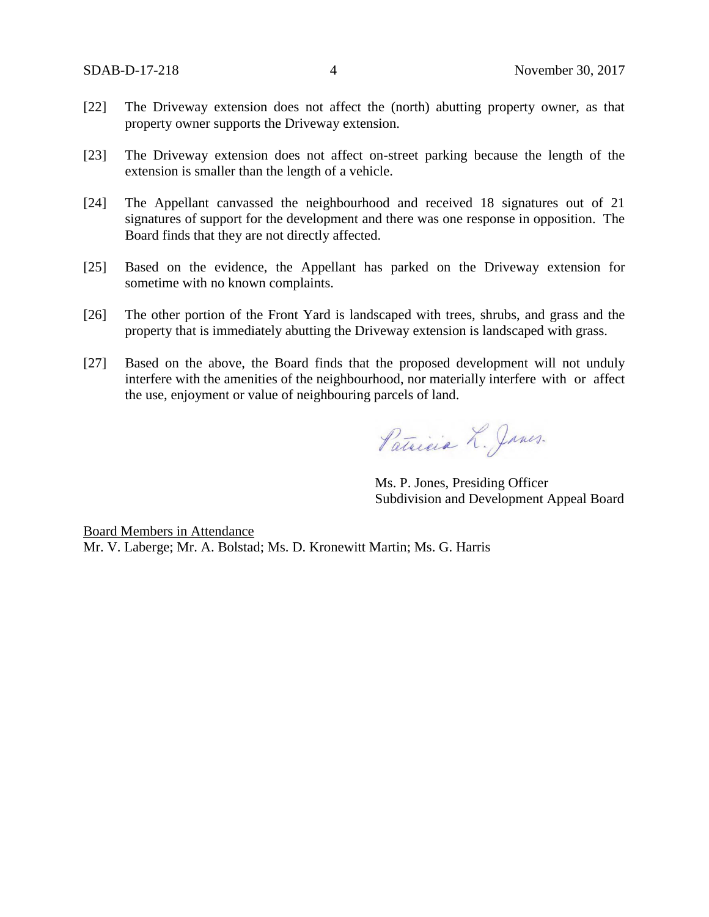- [22] The Driveway extension does not affect the (north) abutting property owner, as that property owner supports the Driveway extension.
- [23] The Driveway extension does not affect on-street parking because the length of the extension is smaller than the length of a vehicle.
- [24] The Appellant canvassed the neighbourhood and received 18 signatures out of 21 signatures of support for the development and there was one response in opposition. The Board finds that they are not directly affected.
- [25] Based on the evidence, the Appellant has parked on the Driveway extension for sometime with no known complaints.
- [26] The other portion of the Front Yard is landscaped with trees, shrubs, and grass and the property that is immediately abutting the Driveway extension is landscaped with grass.
- [27] Based on the above, the Board finds that the proposed development will not unduly interfere with the amenities of the neighbourhood, nor materially interfere with or affect the use, enjoyment or value of neighbouring parcels of land.

Patricia L. Janes.

Ms. P. Jones, Presiding Officer Subdivision and Development Appeal Board

Board Members in Attendance Mr. V. Laberge; Mr. A. Bolstad; Ms. D. Kronewitt Martin; Ms. G. Harris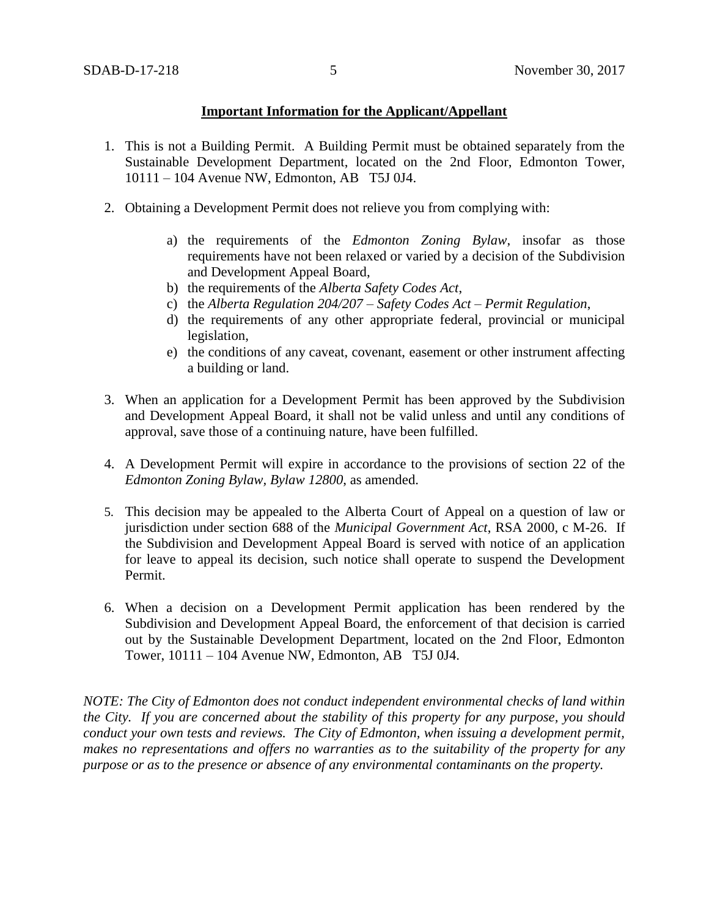## **Important Information for the Applicant/Appellant**

- 1. This is not a Building Permit. A Building Permit must be obtained separately from the Sustainable Development Department, located on the 2nd Floor, Edmonton Tower, 10111 – 104 Avenue NW, Edmonton, AB T5J 0J4.
- 2. Obtaining a Development Permit does not relieve you from complying with:
	- a) the requirements of the *Edmonton Zoning Bylaw*, insofar as those requirements have not been relaxed or varied by a decision of the Subdivision and Development Appeal Board,
	- b) the requirements of the *Alberta Safety Codes Act*,
	- c) the *Alberta Regulation 204/207 – Safety Codes Act – Permit Regulation*,
	- d) the requirements of any other appropriate federal, provincial or municipal legislation,
	- e) the conditions of any caveat, covenant, easement or other instrument affecting a building or land.
- 3. When an application for a Development Permit has been approved by the Subdivision and Development Appeal Board, it shall not be valid unless and until any conditions of approval, save those of a continuing nature, have been fulfilled.
- 4. A Development Permit will expire in accordance to the provisions of section 22 of the *Edmonton Zoning Bylaw, Bylaw 12800*, as amended.
- 5. This decision may be appealed to the Alberta Court of Appeal on a question of law or jurisdiction under section 688 of the *Municipal Government Act*, RSA 2000, c M-26. If the Subdivision and Development Appeal Board is served with notice of an application for leave to appeal its decision, such notice shall operate to suspend the Development Permit.
- 6. When a decision on a Development Permit application has been rendered by the Subdivision and Development Appeal Board, the enforcement of that decision is carried out by the Sustainable Development Department, located on the 2nd Floor, Edmonton Tower, 10111 – 104 Avenue NW, Edmonton, AB T5J 0J4.

*NOTE: The City of Edmonton does not conduct independent environmental checks of land within the City. If you are concerned about the stability of this property for any purpose, you should conduct your own tests and reviews. The City of Edmonton, when issuing a development permit, makes no representations and offers no warranties as to the suitability of the property for any purpose or as to the presence or absence of any environmental contaminants on the property.*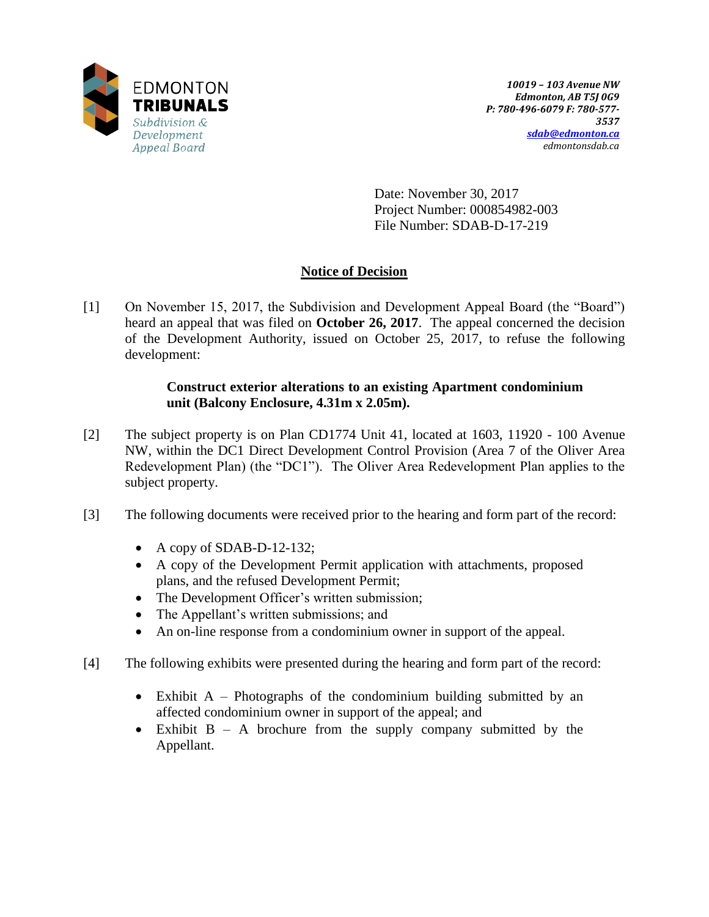

Date: November 30, 2017 Project Number: 000854982-003 File Number: SDAB-D-17-219

# **Notice of Decision**

[1] On November 15, 2017, the Subdivision and Development Appeal Board (the "Board") heard an appeal that was filed on **October 26, 2017**. The appeal concerned the decision of the Development Authority, issued on October 25, 2017, to refuse the following development:

## **Construct exterior alterations to an existing Apartment condominium unit (Balcony Enclosure, 4.31m x 2.05m).**

- [2] The subject property is on Plan CD1774 Unit 41, located at 1603, 11920 100 Avenue NW, within the DC1 Direct Development Control Provision (Area 7 of the Oliver Area Redevelopment Plan) (the "DC1"). The Oliver Area Redevelopment Plan applies to the subject property.
- [3] The following documents were received prior to the hearing and form part of the record:
	- $\bullet$  A copy of SDAB-D-12-132;
	- A copy of the Development Permit application with attachments, proposed plans, and the refused Development Permit;
	- The Development Officer's written submission;
	- The Appellant's written submissions; and
	- An on-line response from a condominium owner in support of the appeal.
- [4] The following exhibits were presented during the hearing and form part of the record:
	- Exhibit A Photographs of the condominium building submitted by an affected condominium owner in support of the appeal; and
	- Exhibit B A brochure from the supply company submitted by the Appellant.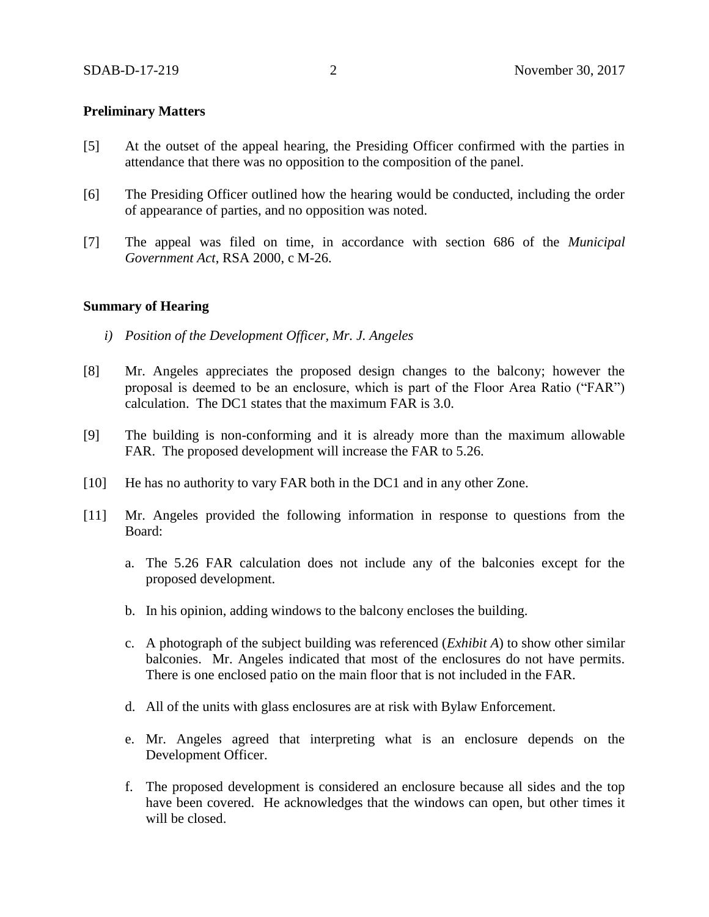#### **Preliminary Matters**

- [5] At the outset of the appeal hearing, the Presiding Officer confirmed with the parties in attendance that there was no opposition to the composition of the panel.
- [6] The Presiding Officer outlined how the hearing would be conducted, including the order of appearance of parties, and no opposition was noted.
- [7] The appeal was filed on time, in accordance with section 686 of the *Municipal Government Act*, RSA 2000, c M-26.

#### **Summary of Hearing**

- *i) Position of the Development Officer, Mr. J. Angeles*
- [8] Mr. Angeles appreciates the proposed design changes to the balcony; however the proposal is deemed to be an enclosure, which is part of the Floor Area Ratio ("FAR") calculation. The DC1 states that the maximum FAR is 3.0.
- [9] The building is non-conforming and it is already more than the maximum allowable FAR. The proposed development will increase the FAR to 5.26.
- [10] He has no authority to vary FAR both in the DC1 and in any other Zone.
- [11] Mr. Angeles provided the following information in response to questions from the Board:
	- a. The 5.26 FAR calculation does not include any of the balconies except for the proposed development.
	- b. In his opinion, adding windows to the balcony encloses the building.
	- c. A photograph of the subject building was referenced (*Exhibit A*) to show other similar balconies. Mr. Angeles indicated that most of the enclosures do not have permits. There is one enclosed patio on the main floor that is not included in the FAR.
	- d. All of the units with glass enclosures are at risk with Bylaw Enforcement.
	- e. Mr. Angeles agreed that interpreting what is an enclosure depends on the Development Officer.
	- f. The proposed development is considered an enclosure because all sides and the top have been covered. He acknowledges that the windows can open, but other times it will be closed.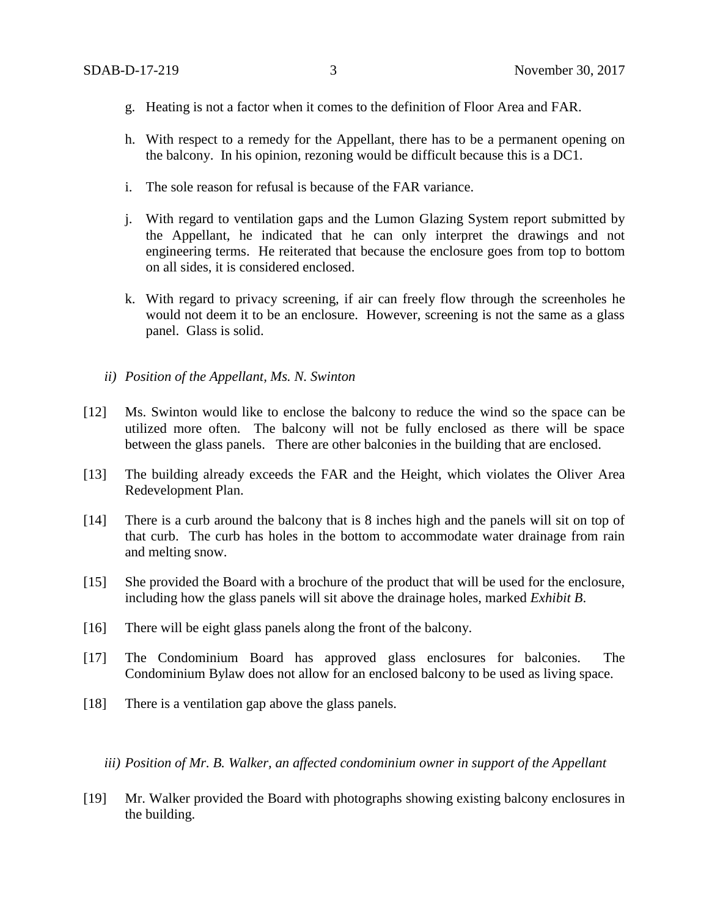- g. Heating is not a factor when it comes to the definition of Floor Area and FAR.
- h. With respect to a remedy for the Appellant, there has to be a permanent opening on the balcony. In his opinion, rezoning would be difficult because this is a DC1.
- i. The sole reason for refusal is because of the FAR variance.
- j. With regard to ventilation gaps and the Lumon Glazing System report submitted by the Appellant, he indicated that he can only interpret the drawings and not engineering terms. He reiterated that because the enclosure goes from top to bottom on all sides, it is considered enclosed.
- k. With regard to privacy screening, if air can freely flow through the screenholes he would not deem it to be an enclosure. However, screening is not the same as a glass panel. Glass is solid.
- *ii) Position of the Appellant, Ms. N. Swinton*
- [12] Ms. Swinton would like to enclose the balcony to reduce the wind so the space can be utilized more often. The balcony will not be fully enclosed as there will be space between the glass panels. There are other balconies in the building that are enclosed.
- [13] The building already exceeds the FAR and the Height, which violates the Oliver Area Redevelopment Plan.
- [14] There is a curb around the balcony that is 8 inches high and the panels will sit on top of that curb. The curb has holes in the bottom to accommodate water drainage from rain and melting snow.
- [15] She provided the Board with a brochure of the product that will be used for the enclosure, including how the glass panels will sit above the drainage holes, marked *Exhibit B*.
- [16] There will be eight glass panels along the front of the balcony.
- [17] The Condominium Board has approved glass enclosures for balconies. The Condominium Bylaw does not allow for an enclosed balcony to be used as living space.
- [18] There is a ventilation gap above the glass panels.

*iii) Position of Mr. B. Walker, an affected condominium owner in support of the Appellant*

[19] Mr. Walker provided the Board with photographs showing existing balcony enclosures in the building.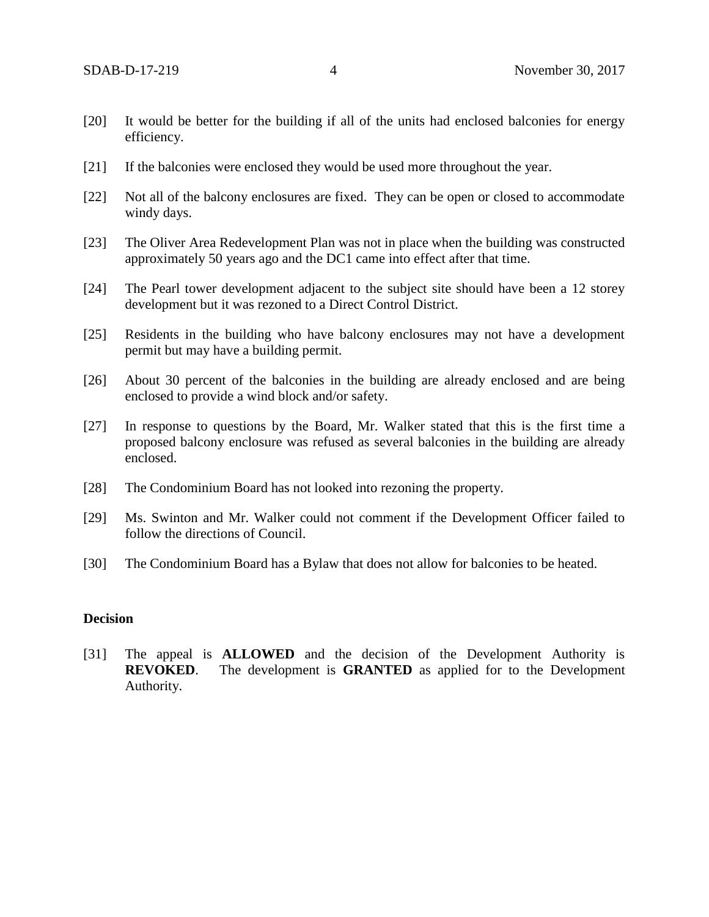- [20] It would be better for the building if all of the units had enclosed balconies for energy efficiency.
- [21] If the balconies were enclosed they would be used more throughout the year.
- [22] Not all of the balcony enclosures are fixed. They can be open or closed to accommodate windy days.
- [23] The Oliver Area Redevelopment Plan was not in place when the building was constructed approximately 50 years ago and the DC1 came into effect after that time.
- [24] The Pearl tower development adjacent to the subject site should have been a 12 storey development but it was rezoned to a Direct Control District.
- [25] Residents in the building who have balcony enclosures may not have a development permit but may have a building permit.
- [26] About 30 percent of the balconies in the building are already enclosed and are being enclosed to provide a wind block and/or safety.
- [27] In response to questions by the Board, Mr. Walker stated that this is the first time a proposed balcony enclosure was refused as several balconies in the building are already enclosed.
- [28] The Condominium Board has not looked into rezoning the property.
- [29] Ms. Swinton and Mr. Walker could not comment if the Development Officer failed to follow the directions of Council.
- [30] The Condominium Board has a Bylaw that does not allow for balconies to be heated.

### **Decision**

[31] The appeal is **ALLOWED** and the decision of the Development Authority is **REVOKED**. The development is **GRANTED** as applied for to the Development Authority.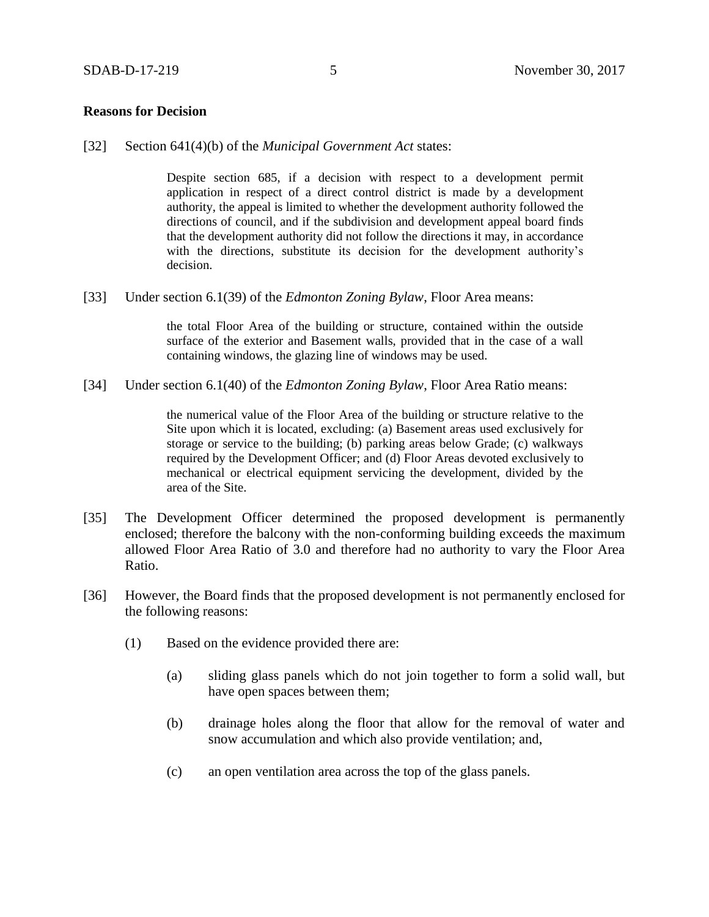#### **Reasons for Decision**

[32] Section 641(4)(b) of the *Municipal Government Act* states:

Despite section 685, if a decision with respect to a development permit application in respect of a direct control district is made by a development authority, the appeal is limited to whether the development authority followed the directions of council, and if the subdivision and development appeal board finds that the development authority did not follow the directions it may, in accordance with the directions, substitute its decision for the development authority's decision.

[33] Under section 6.1(39) of the *Edmonton Zoning Bylaw*, Floor Area means:

the total Floor Area of the building or structure, contained within the outside surface of the exterior and Basement walls, provided that in the case of a wall containing windows, the glazing line of windows may be used.

[34] Under section 6.1(40) of the *Edmonton Zoning Bylaw*, Floor Area Ratio means:

the numerical value of the Floor Area of the building or structure relative to the Site upon which it is located, excluding: (a) Basement areas used exclusively for storage or service to the building; (b) parking areas below Grade; (c) walkways required by the Development Officer; and (d) Floor Areas devoted exclusively to mechanical or electrical equipment servicing the development, divided by the area of the Site.

- [35] The Development Officer determined the proposed development is permanently enclosed; therefore the balcony with the non-conforming building exceeds the maximum allowed Floor Area Ratio of 3.0 and therefore had no authority to vary the Floor Area Ratio.
- [36] However, the Board finds that the proposed development is not permanently enclosed for the following reasons:
	- (1) Based on the evidence provided there are:
		- (a) sliding glass panels which do not join together to form a solid wall, but have open spaces between them;
		- (b) drainage holes along the floor that allow for the removal of water and snow accumulation and which also provide ventilation; and,
		- (c) an open ventilation area across the top of the glass panels.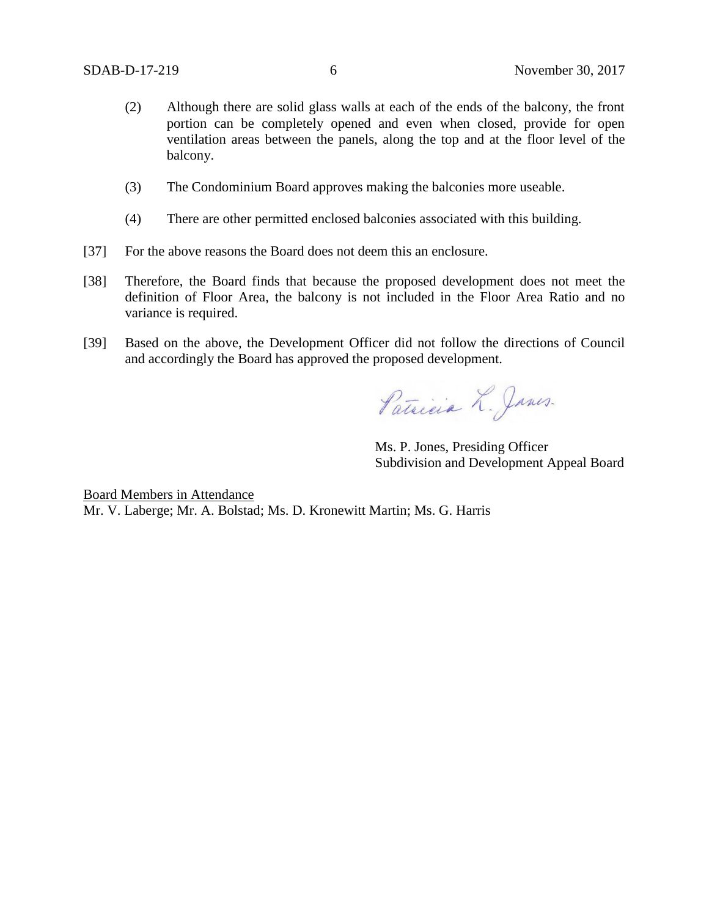- (2) Although there are solid glass walls at each of the ends of the balcony, the front portion can be completely opened and even when closed, provide for open ventilation areas between the panels, along the top and at the floor level of the balcony.
- (3) The Condominium Board approves making the balconies more useable.
- (4) There are other permitted enclosed balconies associated with this building.
- [37] For the above reasons the Board does not deem this an enclosure.
- [38] Therefore, the Board finds that because the proposed development does not meet the definition of Floor Area, the balcony is not included in the Floor Area Ratio and no variance is required.
- [39] Based on the above, the Development Officer did not follow the directions of Council and accordingly the Board has approved the proposed development.

Patricia L. Janes.

Ms. P. Jones, Presiding Officer Subdivision and Development Appeal Board

Board Members in Attendance Mr. V. Laberge; Mr. A. Bolstad; Ms. D. Kronewitt Martin; Ms. G. Harris